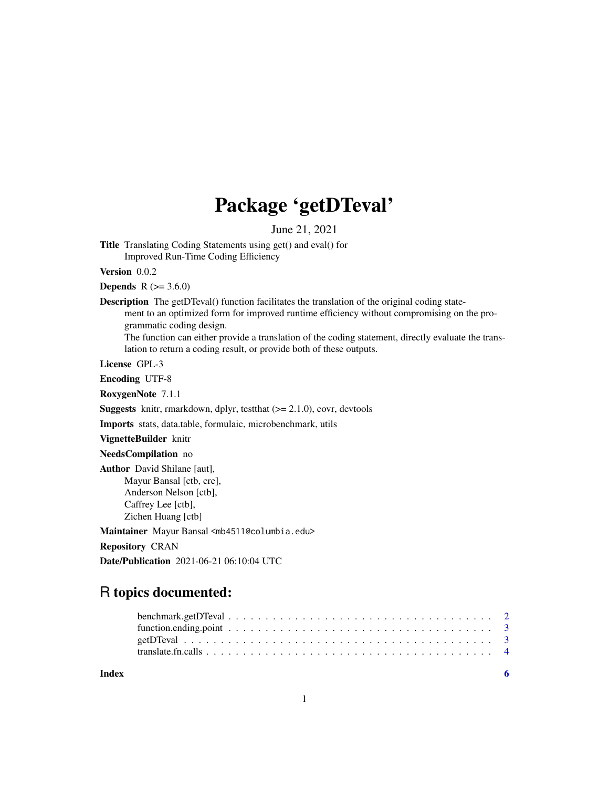# Package 'getDTeval'

June 21, 2021

Title Translating Coding Statements using get() and eval() for Improved Run-Time Coding Efficiency

Version 0.0.2

**Depends** R  $(>= 3.6.0)$ 

Description The getDTeval() function facilitates the translation of the original coding statement to an optimized form for improved runtime efficiency without compromising on the programmatic coding design.

The function can either provide a translation of the coding statement, directly evaluate the translation to return a coding result, or provide both of these outputs.

License GPL-3

Encoding UTF-8

RoxygenNote 7.1.1

**Suggests** knitr, rmarkdown, dplyr, test that  $(>= 2.1.0)$ , covr, devtools

Imports stats, data.table, formulaic, microbenchmark, utils

VignetteBuilder knitr

NeedsCompilation no

Author David Shilane [aut], Mayur Bansal [ctb, cre], Anderson Nelson [ctb], Caffrey Lee [ctb], Zichen Huang [ctb]

Maintainer Mayur Bansal <mb4511@columbia.edu>

Repository CRAN

Date/Publication 2021-06-21 06:10:04 UTC

## R topics documented:

**Index** [6](#page-5-0) **6**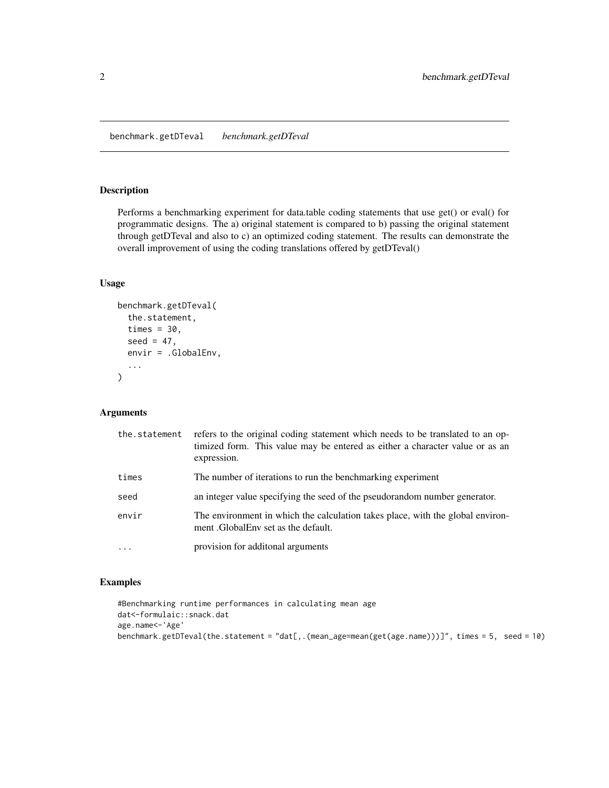<span id="page-1-0"></span>benchmark.getDTeval *benchmark.getDTeval*

#### Description

Performs a benchmarking experiment for data.table coding statements that use get() or eval() for programmatic designs. The a) original statement is compared to b) passing the original statement through getDTeval and also to c) an optimized coding statement. The results can demonstrate the overall improvement of using the coding translations offered by getDTeval()

#### Usage

```
benchmark.getDTeval(
  the.statement,
  times = 30,
  seed = 47.
  envir = .GlobalEnv,
  ...
\mathcal{E}
```
#### Arguments

| the.statement | refers to the original coding statement which needs to be translated to an op-<br>timized form. This value may be entered as either a character value or as an<br>expression. |
|---------------|-------------------------------------------------------------------------------------------------------------------------------------------------------------------------------|
| times         | The number of iterations to run the benchmarking experiment                                                                                                                   |
| seed          | an integer value specifying the seed of the pseudorandom number generator.                                                                                                    |
| envir         | The environment in which the calculation takes place, with the global environ-<br>ment .GlobalEnv set as the default.                                                         |
| $\cdots$      | provision for additional arguments                                                                                                                                            |

#### Examples

```
#Benchmarking runtime performances in calculating mean age
dat<-formulaic::snack.dat
age.name<-'Age'
benchmark.getDTeval(the.statement = "dat[,.(mean_age=mean(get(age.name)))]", times = 5, seed = 10)
```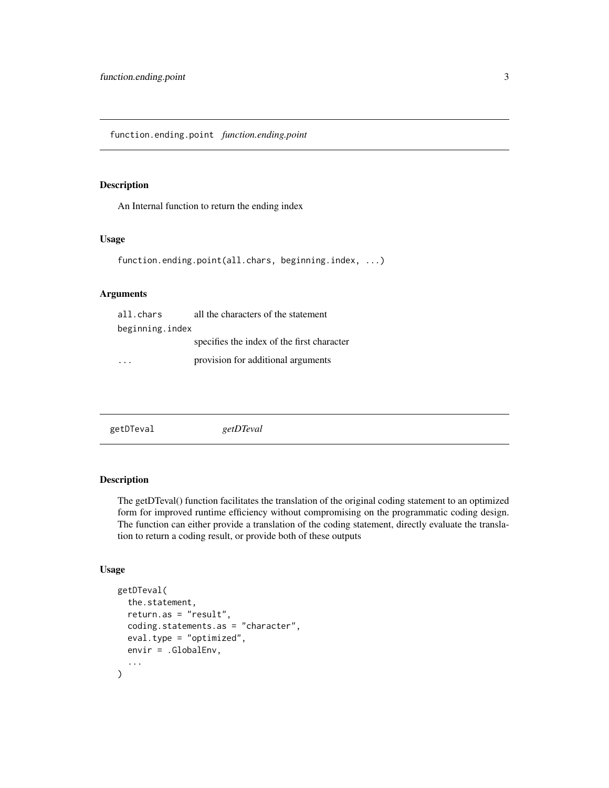<span id="page-2-0"></span>function.ending.point *function.ending.point*

#### Description

An Internal function to return the ending index

#### Usage

```
function.ending.point(all.chars, beginning.index, ...)
```
#### Arguments

| all.chars       | all the characters of the statement        |
|-----------------|--------------------------------------------|
| beginning.index |                                            |
|                 | specifies the index of the first character |
|                 | provision for additional arguments         |

| getDTeval | getDTeval |  |
|-----------|-----------|--|
|           |           |  |

#### Description

The getDTeval() function facilitates the translation of the original coding statement to an optimized form for improved runtime efficiency without compromising on the programmatic coding design. The function can either provide a translation of the coding statement, directly evaluate the translation to return a coding result, or provide both of these outputs

#### Usage

```
getDTeval(
  the.statement,
  return.as = "result",
  coding.statements.as = "character",
  eval.type = "optimized",
  envir = .GlobalEnv,
  ...
\mathcal{E}
```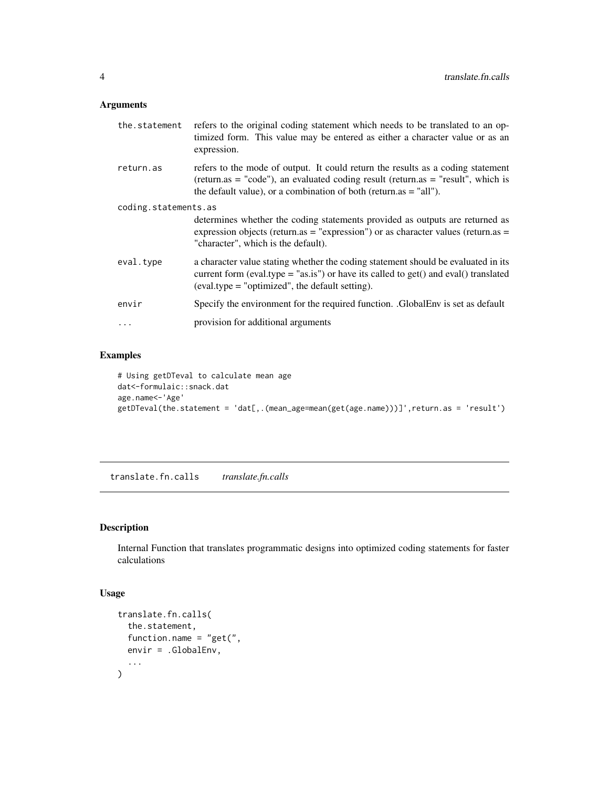#### <span id="page-3-0"></span>Arguments

| the.statement        | refers to the original coding statement which needs to be translated to an op-<br>timized form. This value may be entered as either a character value or as an<br>expression.                                                              |
|----------------------|--------------------------------------------------------------------------------------------------------------------------------------------------------------------------------------------------------------------------------------------|
| return.as            | refers to the mode of output. It could return the results as a coding statement<br>(return.as = "code"), an evaluated coding result (return.as = "result", which is<br>the default value), or a combination of both (return.as $=$ "all"). |
| coding.statements.as |                                                                                                                                                                                                                                            |
|                      | determines whether the coding statements provided as outputs are returned as<br>expression objects (return.as = "expression") or as character values (return.as =<br>"character", which is the default).                                   |
| eval.type            | a character value stating whether the coding statement should be evaluated in its<br>current form (eval.type = " $as.is"$ ) or have its called to get() and eval() translated<br>$\text{(eval-type = "optimized", the default setting)}$ . |
| envir                | Specify the environment for the required function. .GlobalEnv is set as default                                                                                                                                                            |
| $\ddots$ .           | provision for additional arguments                                                                                                                                                                                                         |

#### Examples

```
# Using getDTeval to calculate mean age
dat<-formulaic::snack.dat
age.name<-'Age'
getDTeval(the.statement = 'dat[,.(mean_age=mean(get(age.name)))]',return.as = 'result')
```
translate.fn.calls *translate.fn.calls*

#### Description

Internal Function that translates programmatic designs into optimized coding statements for faster calculations

#### Usage

```
translate.fn.calls(
  the.statement,
  function.name = "get(",
  envir = .GlobalEnv,
  ...
\overline{\phantom{a}}
```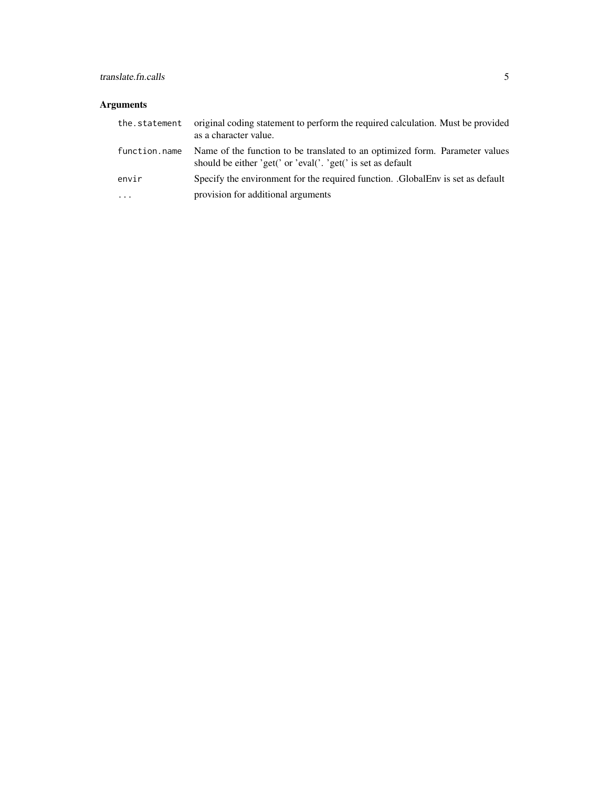### translate.fn.calls 5

#### Arguments

| the.statement | original coding statement to perform the required calculation. Must be provided<br>as a character value.                                     |
|---------------|----------------------------------------------------------------------------------------------------------------------------------------------|
| function.name | Name of the function to be translated to an optimized form. Parameter values<br>should be either 'get(' or 'eval('. 'get(' is set as default |
| envir         | Specify the environment for the required function. GlobalEnv is set as default                                                               |
| $\cdots$      | provision for additional arguments                                                                                                           |